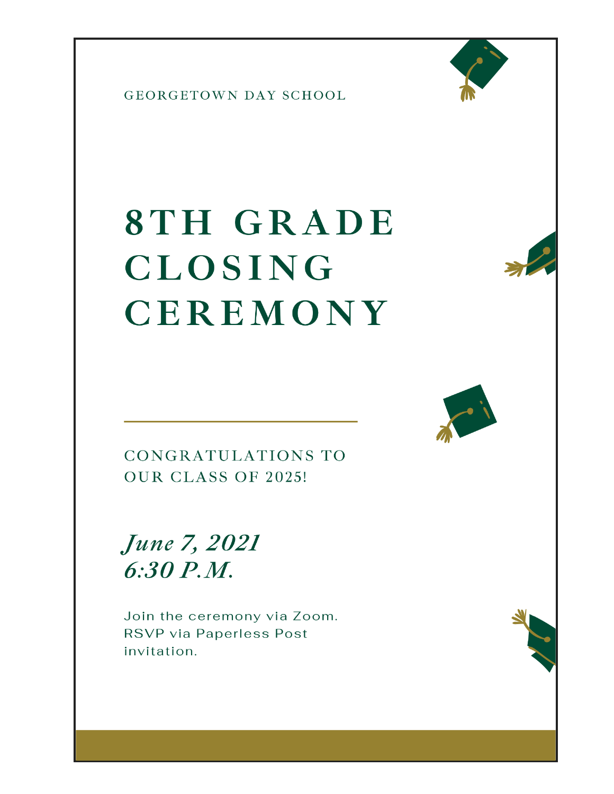

# 8TH GRADE **CLOSING** CEREMONY



CONGRATULATIONS TO OUR CLASS OF 2025!

**June 7, 2021**  $6:30 P.M.$ 

Join the ceremony via Zoom. RSVP via Paperless Post invitation.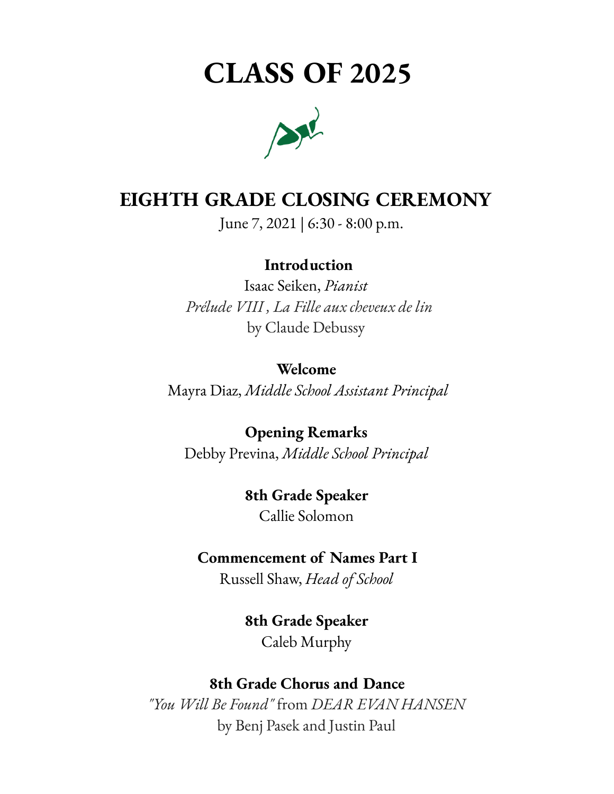## **CLASS OF 2025**



#### **EIGHTH GRADE CLOSING CEREMONY**

June 7, 2021 | 6:30 - 8:00 p.m.

#### **Introduction**

Isaac Seiken, *Pianist Prélude VIII , La Fille aux cheveux de lin* by Claude Debussy

#### **Welcome**

Mayra Diaz, *Middle School Assistant Principal*

#### **Opening Remarks**

Debby Previna, *Middle School Principal*

#### **8th Grade Speaker**

Callie Solomon

#### **Commencement of Names Part I**

Russell Shaw, *Head of School*

#### **8th Grade Speaker** Caleb Murphy

#### **8th Grade Chorus and Dance**

*"You Will Be Found"* from *DEAR EVAN HANSEN* by Benj Pasek and Justin Paul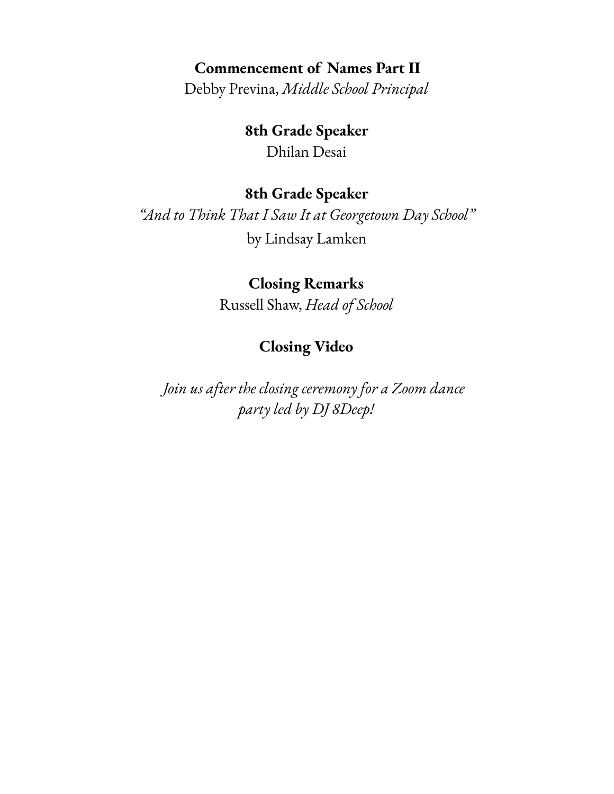#### **Commencement of Names Part II**

Debby Previna, *Middle School Principal*

**8th Grade Speaker** Dhilan Desai

#### **8th Grade Speaker**

*"And to Think That I Saw It at Georgetown Day School"* by Lindsay Lamken

#### **Closing Remarks**

Russell Shaw, *Head of School*

#### **Closing Video**

*Join us after the closing ceremony for a Zoom dance party led by DJ 8Deep!*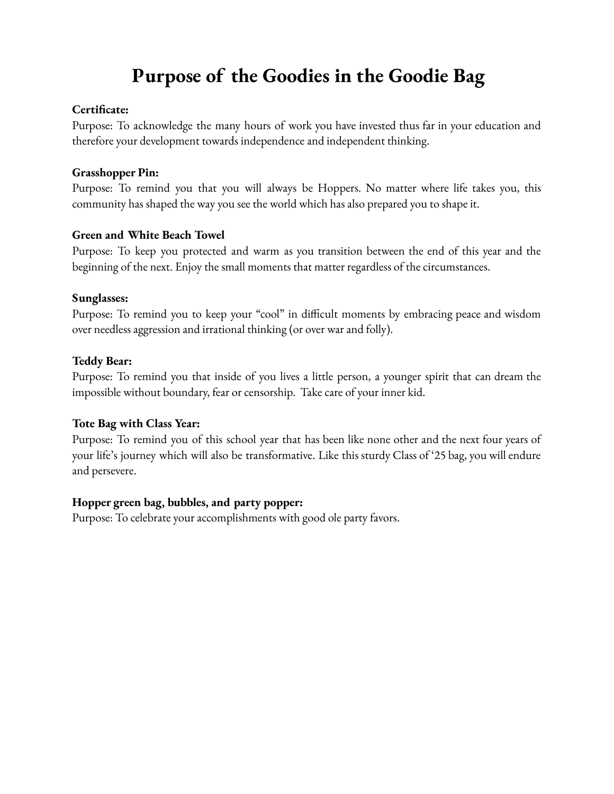### **Purpose of the Goodies in the Goodie Bag**

#### **Certificate:**

Purpose: To acknowledge the many hours of work you have invested thus far in your education and therefore your development towards independence and independent thinking.

#### **Grasshopper Pin:**

Purpose: To remind you that you will always be Hoppers. No matter where life takes you, this community has shaped the way you see the world which has also prepared you to shape it.

#### **Green and White Beach Towel**

Purpose: To keep you protected and warm as you transition between the end of this year and the beginning of the next. Enjoy the small moments that matter regardless of the circumstances.

#### **Sunglasses:**

Purpose: To remind you to keep your "cool" in difficult moments by embracing peace and wisdom over needless aggression and irrational thinking (or over war and folly).

#### **Teddy Bear:**

Purpose: To remind you that inside of you lives a little person, a younger spirit that can dream the impossible without boundary, fear or censorship. Take care of your inner kid.

#### **Tote Bag with Class Year:**

Purpose: To remind you of this school year that has been like none other and the next four years of your life's journey which will also be transformative. Like this sturdy Class of '25 bag, you will endure and persevere.

#### **Hopper green bag, bubbles, and party popper:**

Purpose: To celebrate your accomplishments with good ole party favors.